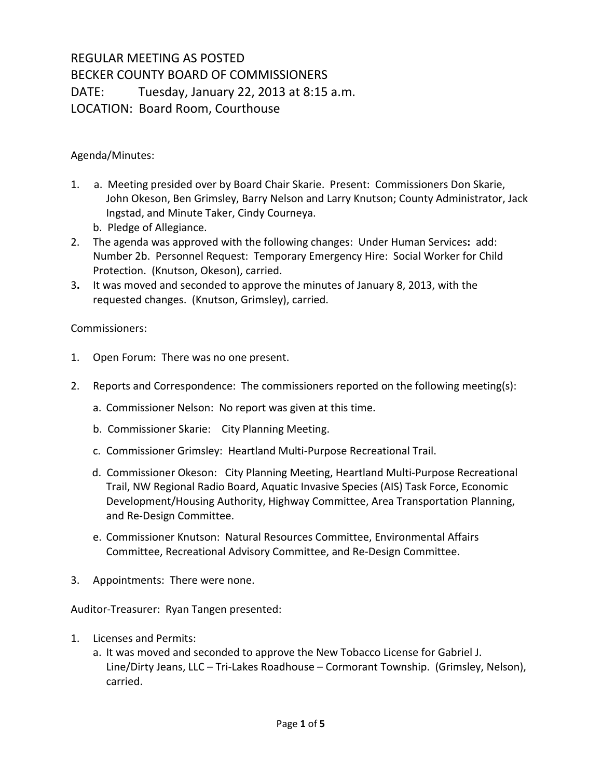## REGULAR MEETING AS POSTED BECKER COUNTY BOARD OF COMMISSIONERS DATE: Tuesday, January 22, 2013 at 8:15 a.m. LOCATION: Board Room, Courthouse

Agenda/Minutes:

- 1. a. Meeting presided over by Board Chair Skarie. Present: Commissioners Don Skarie, John Okeson, Ben Grimsley, Barry Nelson and Larry Knutson; County Administrator, Jack Ingstad, and Minute Taker, Cindy Courneya.
	- b. Pledge of Allegiance.
- 2. The agenda was approved with the following changes: Under Human Services**:** add: Number 2b. Personnel Request: Temporary Emergency Hire: Social Worker for Child Protection. (Knutson, Okeson), carried.
- 3**.** It was moved and seconded to approve the minutes of January 8, 2013, with the requested changes. (Knutson, Grimsley), carried.

## Commissioners:

- 1. Open Forum: There was no one present.
- 2. Reports and Correspondence: The commissioners reported on the following meeting(s):
	- a. Commissioner Nelson: No report was given at this time.
	- b. Commissioner Skarie: City Planning Meeting.
	- c. Commissioner Grimsley: Heartland Multi-Purpose Recreational Trail.
	- d. Commissioner Okeson: City Planning Meeting, Heartland Multi-Purpose Recreational Trail, NW Regional Radio Board, Aquatic Invasive Species (AIS) Task Force, Economic Development/Housing Authority, Highway Committee, Area Transportation Planning, and Re-Design Committee.
	- e. Commissioner Knutson: Natural Resources Committee, Environmental Affairs Committee, Recreational Advisory Committee, and Re-Design Committee.
- 3. Appointments: There were none.

Auditor-Treasurer: Ryan Tangen presented:

- 1. Licenses and Permits:
	- a. It was moved and seconded to approve the New Tobacco License for Gabriel J. Line/Dirty Jeans, LLC – Tri-Lakes Roadhouse – Cormorant Township. (Grimsley, Nelson), carried.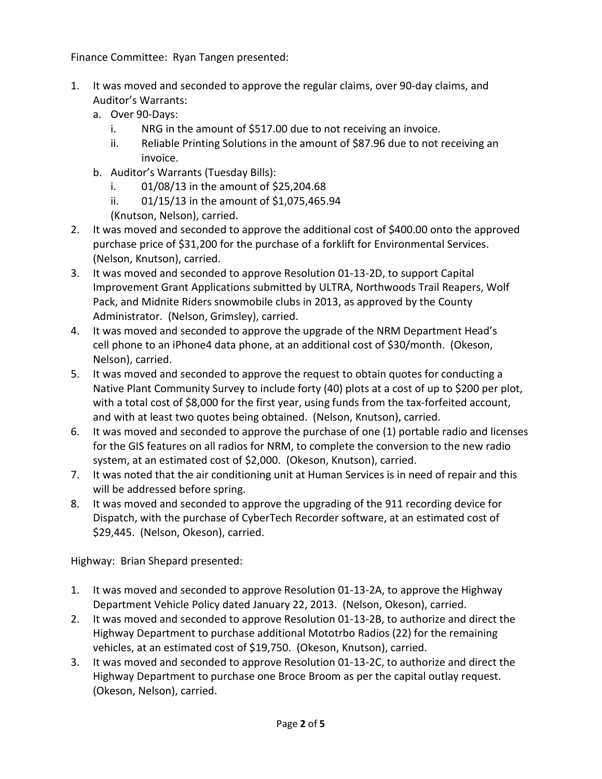Finance Committee: Ryan Tangen presented:

- 1. It was moved and seconded to approve the regular claims, over 90-day claims, and Auditor's Warrants:
	- a. Over 90-Days:
		- i. NRG in the amount of \$517.00 due to not receiving an invoice.
		- ii. Reliable Printing Solutions in the amount of \$87.96 due to not receiving an invoice.
	- b. Auditor's Warrants (Tuesday Bills):
		- i. 01/08/13 in the amount of \$25,204.68
		- ii. 01/15/13 in the amount of \$1,075,465.94
		- (Knutson, Nelson), carried.
- 2. It was moved and seconded to approve the additional cost of \$400.00 onto the approved purchase price of \$31,200 for the purchase of a forklift for Environmental Services. (Nelson, Knutson), carried.
- 3. It was moved and seconded to approve Resolution 01-13-2D, to support Capital Improvement Grant Applications submitted by ULTRA, Northwoods Trail Reapers, Wolf Pack, and Midnite Riders snowmobile clubs in 2013, as approved by the County Administrator. (Nelson, Grimsley), carried.
- 4. It was moved and seconded to approve the upgrade of the NRM Department Head's cell phone to an iPhone4 data phone, at an additional cost of \$30/month. (Okeson, Nelson), carried.
- 5. It was moved and seconded to approve the request to obtain quotes for conducting a Native Plant Community Survey to include forty (40) plots at a cost of up to \$200 per plot, with a total cost of \$8,000 for the first year, using funds from the tax-forfeited account, and with at least two quotes being obtained. (Nelson, Knutson), carried.
- 6. It was moved and seconded to approve the purchase of one (1) portable radio and licenses for the GIS features on all radios for NRM, to complete the conversion to the new radio system, at an estimated cost of \$2,000. (Okeson, Knutson), carried.
- 7. It was noted that the air conditioning unit at Human Services is in need of repair and this will be addressed before spring.
- 8. It was moved and seconded to approve the upgrading of the 911 recording device for Dispatch, with the purchase of CyberTech Recorder software, at an estimated cost of \$29,445. (Nelson, Okeson), carried.

Highway: Brian Shepard presented:

- 1. It was moved and seconded to approve Resolution 01-13-2A, to approve the Highway Department Vehicle Policy dated January 22, 2013. (Nelson, Okeson), carried.
- 2. It was moved and seconded to approve Resolution 01-13-2B, to authorize and direct the Highway Department to purchase additional Mototrbo Radios (22) for the remaining vehicles, at an estimated cost of \$19,750. (Okeson, Knutson), carried.
- 3. It was moved and seconded to approve Resolution 01-13-2C, to authorize and direct the Highway Department to purchase one Broce Broom as per the capital outlay request. (Okeson, Nelson), carried.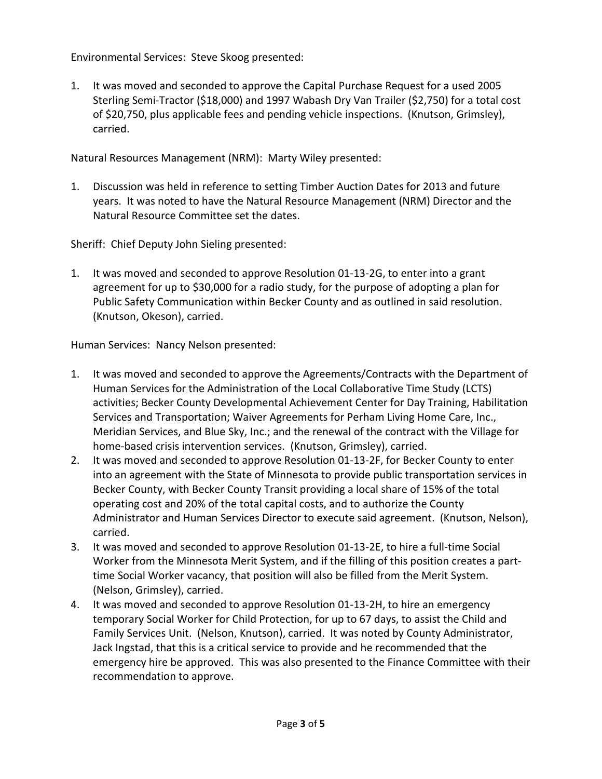Environmental Services: Steve Skoog presented:

1. It was moved and seconded to approve the Capital Purchase Request for a used 2005 Sterling Semi-Tractor (\$18,000) and 1997 Wabash Dry Van Trailer (\$2,750) for a total cost of \$20,750, plus applicable fees and pending vehicle inspections. (Knutson, Grimsley), carried.

Natural Resources Management (NRM): Marty Wiley presented:

1. Discussion was held in reference to setting Timber Auction Dates for 2013 and future years. It was noted to have the Natural Resource Management (NRM) Director and the Natural Resource Committee set the dates.

Sheriff: Chief Deputy John Sieling presented:

1. It was moved and seconded to approve Resolution 01-13-2G, to enter into a grant agreement for up to \$30,000 for a radio study, for the purpose of adopting a plan for Public Safety Communication within Becker County and as outlined in said resolution. (Knutson, Okeson), carried.

Human Services: Nancy Nelson presented:

- 1. It was moved and seconded to approve the Agreements/Contracts with the Department of Human Services for the Administration of the Local Collaborative Time Study (LCTS) activities; Becker County Developmental Achievement Center for Day Training, Habilitation Services and Transportation; Waiver Agreements for Perham Living Home Care, Inc., Meridian Services, and Blue Sky, Inc.; and the renewal of the contract with the Village for home-based crisis intervention services. (Knutson, Grimsley), carried.
- 2. It was moved and seconded to approve Resolution 01-13-2F, for Becker County to enter into an agreement with the State of Minnesota to provide public transportation services in Becker County, with Becker County Transit providing a local share of 15% of the total operating cost and 20% of the total capital costs, and to authorize the County Administrator and Human Services Director to execute said agreement. (Knutson, Nelson), carried.
- 3. It was moved and seconded to approve Resolution 01-13-2E, to hire a full-time Social Worker from the Minnesota Merit System, and if the filling of this position creates a parttime Social Worker vacancy, that position will also be filled from the Merit System. (Nelson, Grimsley), carried.
- 4. It was moved and seconded to approve Resolution 01-13-2H, to hire an emergency temporary Social Worker for Child Protection, for up to 67 days, to assist the Child and Family Services Unit. (Nelson, Knutson), carried. It was noted by County Administrator, Jack Ingstad, that this is a critical service to provide and he recommended that the emergency hire be approved. This was also presented to the Finance Committee with their recommendation to approve.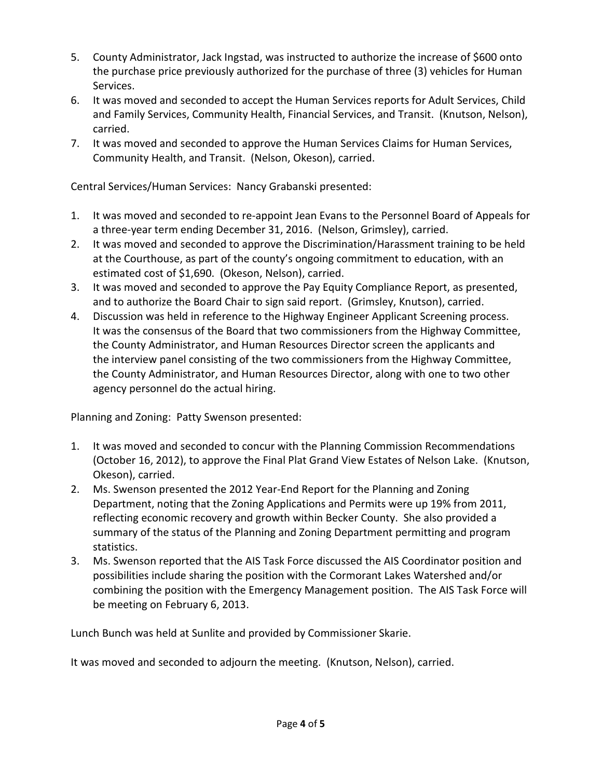- 5. County Administrator, Jack Ingstad, was instructed to authorize the increase of \$600 onto the purchase price previously authorized for the purchase of three (3) vehicles for Human Services.
- 6. It was moved and seconded to accept the Human Services reports for Adult Services, Child and Family Services, Community Health, Financial Services, and Transit. (Knutson, Nelson), carried.
- 7. It was moved and seconded to approve the Human Services Claims for Human Services, Community Health, and Transit. (Nelson, Okeson), carried.

Central Services/Human Services: Nancy Grabanski presented:

- 1. It was moved and seconded to re-appoint Jean Evans to the Personnel Board of Appeals for a three-year term ending December 31, 2016. (Nelson, Grimsley), carried.
- 2. It was moved and seconded to approve the Discrimination/Harassment training to be held at the Courthouse, as part of the county's ongoing commitment to education, with an estimated cost of \$1,690. (Okeson, Nelson), carried.
- 3. It was moved and seconded to approve the Pay Equity Compliance Report, as presented, and to authorize the Board Chair to sign said report. (Grimsley, Knutson), carried.
- 4. Discussion was held in reference to the Highway Engineer Applicant Screening process. It was the consensus of the Board that two commissioners from the Highway Committee, the County Administrator, and Human Resources Director screen the applicants and the interview panel consisting of the two commissioners from the Highway Committee, the County Administrator, and Human Resources Director, along with one to two other agency personnel do the actual hiring.

Planning and Zoning: Patty Swenson presented:

- 1. It was moved and seconded to concur with the Planning Commission Recommendations (October 16, 2012), to approve the Final Plat Grand View Estates of Nelson Lake. (Knutson, Okeson), carried.
- 2. Ms. Swenson presented the 2012 Year-End Report for the Planning and Zoning Department, noting that the Zoning Applications and Permits were up 19% from 2011, reflecting economic recovery and growth within Becker County. She also provided a summary of the status of the Planning and Zoning Department permitting and program statistics.
- 3. Ms. Swenson reported that the AIS Task Force discussed the AIS Coordinator position and possibilities include sharing the position with the Cormorant Lakes Watershed and/or combining the position with the Emergency Management position. The AIS Task Force will be meeting on February 6, 2013.

Lunch Bunch was held at Sunlite and provided by Commissioner Skarie.

It was moved and seconded to adjourn the meeting. (Knutson, Nelson), carried.